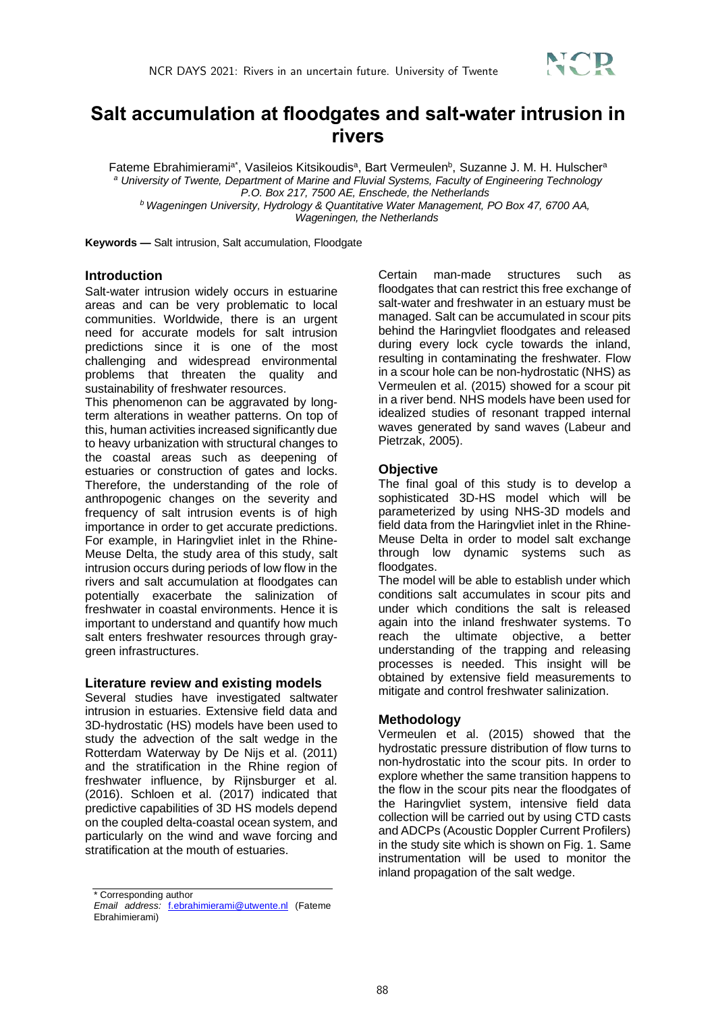

# **Salt accumulation at floodgates and salt-water intrusion in rivers**

Fateme Ebrahimierami<sup>a\*</sup>, Vasileios Kitsikoudis<sup>a</sup>, Bart Vermeulen<sup>b</sup>, Suzanne J. M. H. Hulscher<sup>a</sup> *<sup>a</sup> University of Twente, Department of Marine and Fluvial Systems, Faculty of Engineering Technology P.O. Box 217, 7500 AE, Enschede, the Netherlands <sup>b</sup> Wageningen University, Hydrology & Quantitative Water Management, PO Box 47, 6700 AA,*

*Wageningen, the Netherlands*

**Keywords —** Salt intrusion, Salt accumulation, Floodgate

## **Introduction**

Salt-water intrusion widely occurs in estuarine areas and can be very problematic to local communities. Worldwide, there is an urgent need for accurate models for salt intrusion predictions since it is one of the most challenging and widespread environmental problems that threaten the quality and sustainability of freshwater resources.

This phenomenon can be aggravated by longterm alterations in weather patterns. On top of this, human activities increased significantly due to heavy urbanization with structural changes to the coastal areas such as deepening of estuaries or construction of gates and locks. Therefore, the understanding of the role of anthropogenic changes on the severity and frequency of salt intrusion events is of high importance in order to get accurate predictions. For example, in Haringvliet inlet in the Rhine-Meuse Delta, the study area of this study, salt intrusion occurs during periods of low flow in the rivers and salt accumulation at floodgates can potentially exacerbate the salinization of freshwater in coastal environments. Hence it is important to understand and quantify how much salt enters freshwater resources through graygreen infrastructures.

#### **Literature review and existing models**

Several studies have investigated saltwater intrusion in estuaries. Extensive field data and 3D-hydrostatic (HS) models have been used to study the advection of the salt wedge in the Rotterdam Waterway by De Nijs et al. (2011) and the stratification in the Rhine region of freshwater influence, by Rijnsburger et al. (2016). Schloen et al. (2017) indicated that predictive capabilities of 3D HS models depend on the coupled delta-coastal ocean system, and particularly on the wind and wave forcing and stratification at the mouth of estuaries.

Certain man-made structures such as floodgates that can restrict this free exchange of salt-water and freshwater in an estuary must be managed. Salt can be accumulated in scour pits behind the Haringvliet floodgates and released during every lock cycle towards the inland, resulting in contaminating the freshwater. Flow in a scour hole can be non-hydrostatic (NHS) as Vermeulen et al. (2015) showed for a scour pit in a river bend. NHS models have been used for idealized studies of resonant trapped internal waves generated by sand waves (Labeur and Pietrzak, 2005).

### **Objective**

The final goal of this study is to develop a sophisticated 3D-HS model which will be parameterized by using NHS-3D models and field data from the Haringvliet inlet in the Rhine-Meuse Delta in order to model salt exchange through low dynamic systems such as floodgates.

The model will be able to establish under which conditions salt accumulates in scour pits and under which conditions the salt is released again into the inland freshwater systems. To reach the ultimate objective, a better understanding of the trapping and releasing processes is needed. This insight will be obtained by extensive field measurements to mitigate and control freshwater salinization.

## **Methodology**

Vermeulen et al. (2015) showed that the hydrostatic pressure distribution of flow turns to non-hydrostatic into the scour pits. In order to explore whether the same transition happens to the flow in the scour pits near the floodgates of the Haringvliet system, intensive field data collection will be carried out by using CTD casts and ADCPs (Acoustic Doppler Current Profilers) in the study site which is shown on Fig. 1. Same instrumentation will be used to monitor the inland propagation of the salt wedge.

<sup>\*</sup> Corresponding author

*Email address:* f.ebrahimierami@utwente.nl (Fateme Ebrahimierami)